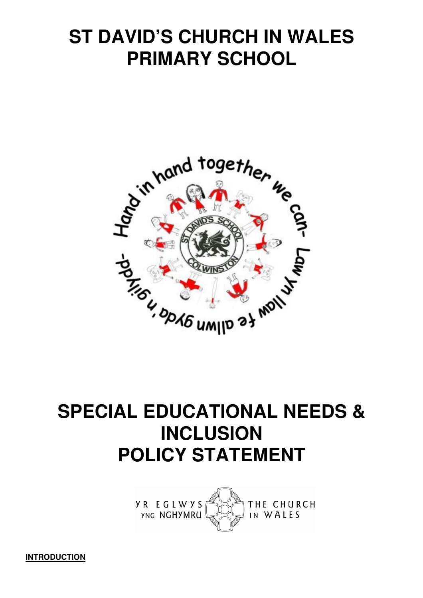# **ST DAVID'S CHURCH IN WALES PRIMARY SCHOOL**



# **SPECIAL EDUCATIONAL NEEDS & INCLUSION POLICY STATEMENT**



**INTRODUCTION**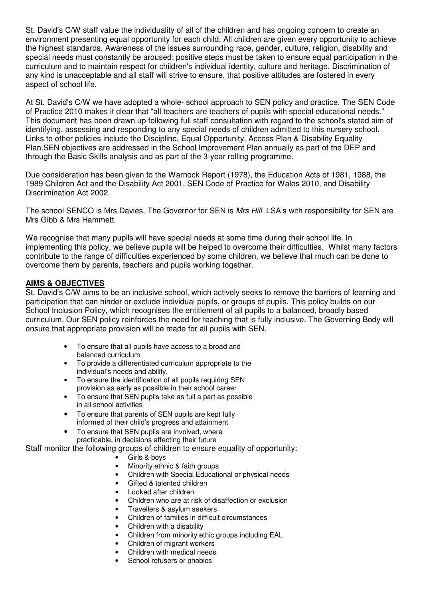St. David's C/W staff value the individuality of all of the children and has ongoing concern to create an environment presenting equal opportunity for each child. All children are given every opportunity to achieve the highest standards. Awareness of the issues surrounding race, gender, culture, religion, disability and special needs must constantly be aroused; positive steps must be taken to ensure equal participation in the curriculum and to maintain respect for children's individual identity, culture and heritage. Discrimination of any kind is unacceptable and all staff will strive to ensure, that positive attitudes are fostered in every aspect of school life.

At St. David's C/W we have adopted a whole- school approach to SEN policy and practice. The SEN Code of Practice 2010 makes it clear that "all teachers are teachers of pupils with special educational needs." This document has been drawn up following full staff consultation with regard to the school's stated aim of identifying, assessing and responding to any special needs of children admitted to this nursery school. Links to other policies include the Discipline, Equal Opportunity, Access Plan & Disability Equality Plan.SEN objectives are addressed in the School Improvement Plan annually as part of the DEP and through the Basic Skills analysis and as part of the 3-year rolling programme.

Due consideration has been given to the Warnock Report (1978), the Education Acts of 1981, 1988, the 1989 Children Act and the Disability Act 2001, SEN Code of Practice for Wales 2010, and Disability Discrimination Act 2002.

The school SENCO is Mrs Davies. The Governor for SEN is Mrs Hill. LSA's with responsibility for SEN are Mrs Gibb & Mrs Hammett.

We recognise that many pupils will have special needs at some time during their school life. In implementing this policy, we believe pupils will be helped to overcome their difficulties. Whilst many factors contribute to the range of difficulties experienced by some children, we believe that much can be done to overcome them by parents, teachers and pupils working together.

## **AIMS & OBJECTIVES**

St. David's C/W aims to be an inclusive school, which actively seeks to remove the barriers of learning and participation that can hinder or exclude individual pupils, or groups of pupils. This policy builds on our School Inclusion Policy, which recognises the entitlement of all pupils to a balanced, broadly based curriculum. Our SEN policy reinforces the need for teaching that is fully inclusive. The Governing Body will ensure that appropriate provision will be made for all pupils with SEN.

- To ensure that all pupils have access to a broad and balanced curriculum
- To provide a differentiated curriculum appropriate to the individual's needs and ability.
- To ensure the identification of all pupils requiring SEN provision as early as possible in their school career
- To ensure that SEN pupils take as full a part as possible in all school activities
- To ensure that parents of SEN pupils are kept fully informed of their child's progress and attainment
- To ensure that SEN pupils are involved, where

practicable, in decisions affecting their future

Staff monitor the following groups of children to ensure equality of opportunity:

- Girls & boys
- Minority ethnic & faith groups
- Children with Special Educational or physical needs
- Gifted & talented children
- Looked after children
- Children who are at risk of disaffection or exclusion
- Travellers & asylum seekers
- Children of families in difficult circumstances
- Children with a disability
- Children from minority ethic groups including EAL
- Children of migrant workers
- Children with medical needs
- School refusers or phobics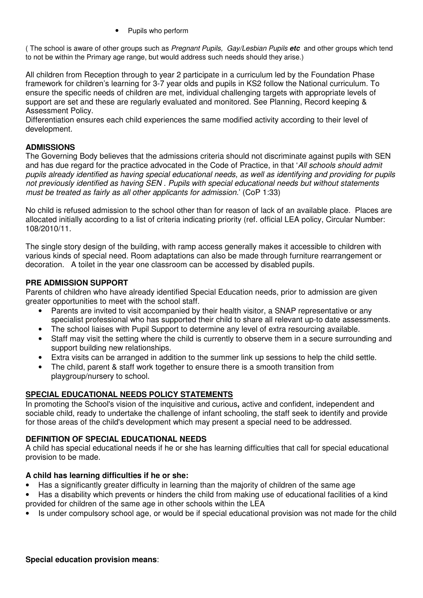• Pupils who perform

( The school is aware of other groups such as Pregnant Pupils, Gay/Lesbian Pupils **etc** and other groups which tend to not be within the Primary age range, but would address such needs should they arise.)

All children from Reception through to year 2 participate in a curriculum led by the Foundation Phase framework for children's learning for 3-7 year olds and pupils in KS2 follow the National curriculum. To ensure the specific needs of children are met, individual challenging targets with appropriate levels of support are set and these are regularly evaluated and monitored. See Planning, Record keeping & Assessment Policy.

Differentiation ensures each child experiences the same modified activity according to their level of development.

## **ADMISSIONS**

The Governing Body believes that the admissions criteria should not discriminate against pupils with SEN and has due regard for the practice advocated in the Code of Practice, in that 'All schools should admit pupils already identified as having special educational needs, as well as identifying and providing for pupils not previously identified as having SEN . Pupils with special educational needs but without statements must be treated as fairly as all other applicants for admission.' (CoP 1:33)

No child is refused admission to the school other than for reason of lack of an available place. Places are allocated initially according to a list of criteria indicating priority (ref. official LEA policy, Circular Number: 108/2010/11.

The single story design of the building, with ramp access generally makes it accessible to children with various kinds of special need. Room adaptations can also be made through furniture rearrangement or decoration. A toilet in the year one classroom can be accessed by disabled pupils.

## **PRE ADMISSION SUPPORT**

Parents of children who have already identified Special Education needs, prior to admission are given greater opportunities to meet with the school staff.

- Parents are invited to visit accompanied by their health visitor, a SNAP representative or any specialist professional who has supported their child to share all relevant up-to date assessments.
- The school liaises with Pupil Support to determine any level of extra resourcing available.
- Staff may visit the setting where the child is currently to observe them in a secure surrounding and support building new relationships.
- Extra visits can be arranged in addition to the summer link up sessions to help the child settle.
- The child, parent & staff work together to ensure there is a smooth transition from playgroup/nursery to school.

## **SPECIAL EDUCATIONAL NEEDS POLICY STATEMENTS**

In promoting the School's vision of the inquisitive and curious**,** active and confident, independent and sociable child, ready to undertake the challenge of infant schooling, the staff seek to identify and provide for those areas of the child's development which may present a special need to be addressed.

## **DEFINITION OF SPECIAL EDUCATIONAL NEEDS**

A child has special educational needs if he or she has learning difficulties that call for special educational provision to be made.

#### **A child has learning difficulties if he or she:**

- Has a significantly greater difficulty in learning than the majority of children of the same age
- Has a disability which prevents or hinders the child from making use of educational facilities of a kind provided for children of the same age in other schools within the LEA
- Is under compulsory school age, or would be if special educational provision was not made for the child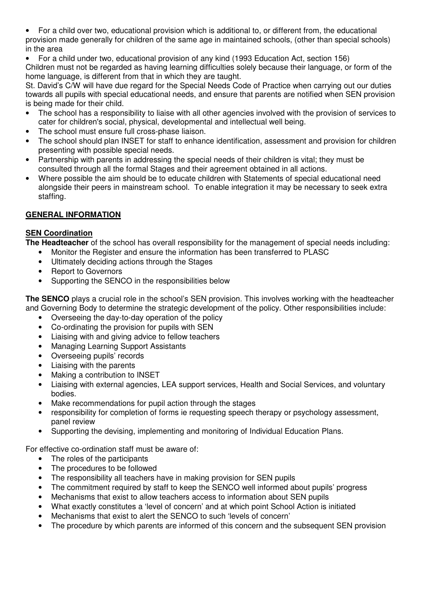• For a child over two, educational provision which is additional to, or different from, the educational provision made generally for children of the same age in maintained schools, (other than special schools) in the area

• For a child under two, educational provision of any kind (1993 Education Act, section 156) Children must not be regarded as having learning difficulties solely because their language, or form of the home language, is different from that in which they are taught.

St. David's C/W will have due regard for the Special Needs Code of Practice when carrying out our duties towards all pupils with special educational needs, and ensure that parents are notified when SEN provision is being made for their child.

- The school has a responsibility to liaise with all other agencies involved with the provision of services to cater for children's social, physical, developmental and intellectual well being.
- The school must ensure full cross-phase liaison.
- The school should plan INSET for staff to enhance identification, assessment and provision for children presenting with possible special needs.
- Partnership with parents in addressing the special needs of their children is vital; they must be consulted through all the formal Stages and their agreement obtained in all actions.
- Where possible the aim should be to educate children with Statements of special educational need alongside their peers in mainstream school. To enable integration it may be necessary to seek extra staffing.

# **GENERAL INFORMATION**

# **SEN Coordination**

**The Headteacher** of the school has overall responsibility for the management of special needs including:

- Monitor the Register and ensure the information has been transferred to PLASC
- Ultimately deciding actions through the Stages
- Report to Governors
- Supporting the SENCO in the responsibilities below

**The SENCO** plays a crucial role in the school's SEN provision. This involves working with the headteacher and Governing Body to determine the strategic development of the policy. Other responsibilities include:

- Overseeing the day-to-day operation of the policy
- Co-ordinating the provision for pupils with SEN
- Liaising with and giving advice to fellow teachers
- Managing Learning Support Assistants
- Overseeing pupils' records
- Liaising with the parents
- Making a contribution to INSET
- Liaising with external agencies, LEA support services, Health and Social Services, and voluntary bodies.
- Make recommendations for pupil action through the stages
- responsibility for completion of forms ie requesting speech therapy or psychology assessment, panel review
- Supporting the devising, implementing and monitoring of Individual Education Plans.

For effective co-ordination staff must be aware of:

- The roles of the participants
- The procedures to be followed
- The responsibility all teachers have in making provision for SEN pupils
- The commitment required by staff to keep the SENCO well informed about pupils' progress
- Mechanisms that exist to allow teachers access to information about SEN pupils
- What exactly constitutes a 'level of concern' and at which point School Action is initiated
- Mechanisms that exist to alert the SENCO to such 'levels of concern'
- The procedure by which parents are informed of this concern and the subsequent SEN provision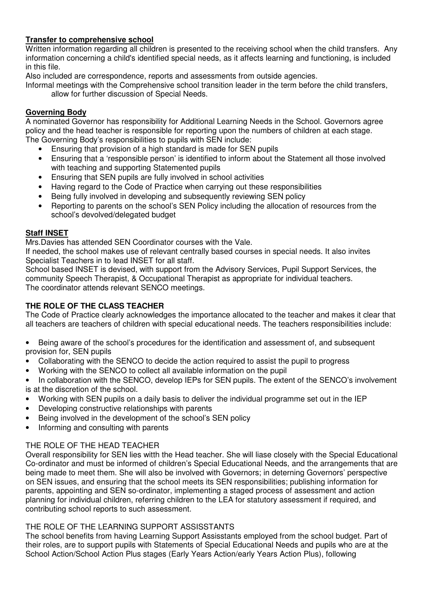# **Transfer to comprehensive school**

Written information regarding all children is presented to the receiving school when the child transfers. Any information concerning a child's identified special needs, as it affects learning and functioning, is included in this file.

Also included are correspondence, reports and assessments from outside agencies.

Informal meetings with the Comprehensive school transition leader in the term before the child transfers, allow for further discussion of Special Needs.

# **Governing Body**

A nominated Governor has responsibility for Additional Learning Needs in the School. Governors agree policy and the head teacher is responsible for reporting upon the numbers of children at each stage. The Governing Body's responsibilities to pupils with SEN include:

- Ensuring that provision of a high standard is made for SEN pupils
- Ensuring that a 'responsible person' is identified to inform about the Statement all those involved with teaching and supporting Statemented pupils
- Ensuring that SEN pupils are fully involved in school activities
- Having regard to the Code of Practice when carrying out these responsibilities
- Being fully involved in developing and subsequently reviewing SEN policy
- Reporting to parents on the school's SEN Policy including the allocation of resources from the school's devolved/delegated budget

## **Staff INSET**

Mrs.Davies has attended SEN Coordinator courses with the Vale.

If needed, the school makes use of relevant centrally based courses in special needs. It also invites Specialist Teachers in to lead INSET for all staff.

School based INSET is devised, with support from the Advisory Services, Pupil Support Services, the community Speech Therapist, & Occupational Therapist as appropriate for individual teachers. The coordinator attends relevant SENCO meetings.

# **THE ROLE OF THE CLASS TEACHER**

The Code of Practice clearly acknowledges the importance allocated to the teacher and makes it clear that all teachers are teachers of children with special educational needs. The teachers responsibilities include:

• Being aware of the school's procedures for the identification and assessment of, and subsequent provision for, SEN pupils

- Collaborating with the SENCO to decide the action required to assist the pupil to progress
- Working with the SENCO to collect all available information on the pupil
- In collaboration with the SENCO, develop IEPs for SEN pupils. The extent of the SENCO's involvement is at the discretion of the school.
- Working with SEN pupils on a daily basis to deliver the individual programme set out in the IEP
- Developing constructive relationships with parents
- Being involved in the development of the school's SEN policy
- Informing and consulting with parents

## THE ROLE OF THE HEAD TEACHER

Overall responsibility for SEN lies witth the Head teacher. She will liase closely with the Special Educational Co-ordinator and must be informed of children's Special Educational Needs, and the arrangements that are being made to meet them. She will also be involved with Governors; in deterning Governors' perspective on SEN issues, and ensuring that the school meets its SEN responsibilities; publishing information for parents, appointing and SEN so-ordinator, implementing a staged process of assessment and action planning for individual children, referring children to the LEA for statutory assessment if required, and contributing school reports to such assessment.

## THE ROLE OF THE LEARNING SUPPORT ASSISSTANTS

The school benefits from having Learning Support Assisstants employed from the school budget. Part of their roles, are to support pupils with Statements of Special Educational Needs and pupils who are at the School Action/School Action Plus stages (Early Years Action/early Years Action Plus), following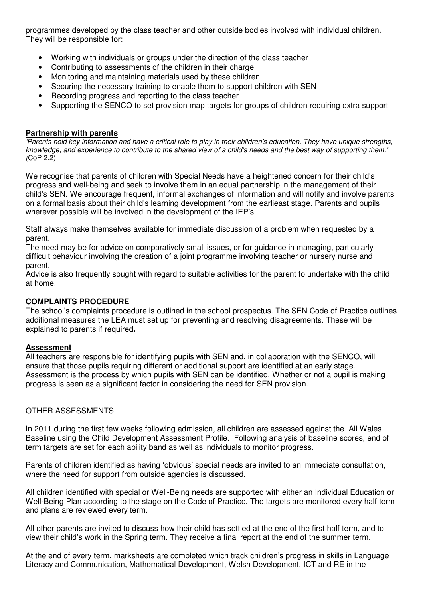programmes developed by the class teacher and other outside bodies involved with individual children. They will be responsible for:

- Working with individuals or groups under the direction of the class teacher
- Contributing to assessments of the children in their charge
- Monitoring and maintaining materials used by these children
- Securing the necessary training to enable them to support children with SEN
- Recording progress and reporting to the class teacher
- Supporting the SENCO to set provision map targets for groups of children requiring extra support

#### **Partnership with parents**

'Parents hold key information and have a critical role to play in their children's education. They have unique strengths, knowledge, and experience to contribute to the shared view of a child's needs and the best way of supporting them.' (CoP 2.2)

We recognise that parents of children with Special Needs have a heightened concern for their child's progress and well-being and seek to involve them in an equal partnership in the management of their child's SEN. We encourage frequent, informal exchanges of information and will notify and involve parents on a formal basis about their child's learning development from the earlieast stage. Parents and pupils wherever possible will be involved in the development of the IEP's.

Staff always make themselves available for immediate discussion of a problem when requested by a parent.

The need may be for advice on comparatively small issues, or for guidance in managing, particularly difficult behaviour involving the creation of a joint programme involving teacher or nursery nurse and parent.

Advice is also frequently sought with regard to suitable activities for the parent to undertake with the child at home.

#### **COMPLAINTS PROCEDURE**

The school's complaints procedure is outlined in the school prospectus. The SEN Code of Practice outlines additional measures the LEA must set up for preventing and resolving disagreements. These will be explained to parents if required**.** 

#### **Assessment**

All teachers are responsible for identifying pupils with SEN and, in collaboration with the SENCO, will ensure that those pupils requiring different or additional support are identified at an early stage. Assessment is the process by which pupils with SEN can be identified. Whether or not a pupil is making progress is seen as a significant factor in considering the need for SEN provision.

#### OTHER ASSESSMENTS

In 2011 during the first few weeks following admission, all children are assessed against the All Wales Baseline using the Child Development Assessment Profile. Following analysis of baseline scores, end of term targets are set for each ability band as well as individuals to monitor progress.

Parents of children identified as having 'obvious' special needs are invited to an immediate consultation, where the need for support from outside agencies is discussed.

All children identified with special or Well-Being needs are supported with either an Individual Education or Well-Being Plan according to the stage on the Code of Practice. The targets are monitored every half term and plans are reviewed every term.

All other parents are invited to discuss how their child has settled at the end of the first half term, and to view their child's work in the Spring term. They receive a final report at the end of the summer term.

At the end of every term, marksheets are completed which track children's progress in skills in Language Literacy and Communication, Mathematical Development, Welsh Development, ICT and RE in the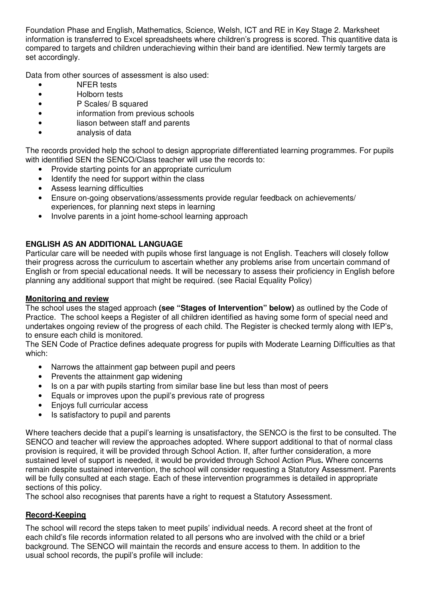Foundation Phase and English, Mathematics, Science, Welsh, ICT and RE in Key Stage 2. Marksheet information is transferred to Excel spreadsheets where children's progress is scored. This quantitive data is compared to targets and children underachieving within their band are identified. New termly targets are set accordingly.

Data from other sources of assessment is also used:

- NFER tests
- Holborn tests
- P Scales/ B squared
- information from previous schools
- liason between staff and parents
- analysis of data

The records provided help the school to design appropriate differentiated learning programmes. For pupils with identified SEN the SENCO/Class teacher will use the records to:

- Provide starting points for an appropriate curriculum
- Identify the need for support within the class
- Assess learning difficulties
- Ensure on-going observations/assessments provide regular feedback on achievements/ experiences, for planning next steps in learning
- Involve parents in a joint home-school learning approach

# **ENGLISH AS AN ADDITIONAL LANGUAGE**

Particular care will be needed with pupils whose first language is not English. Teachers will closely follow their progress across the curriculum to ascertain whether any problems arise from uncertain command of English or from special educational needs. It will be necessary to assess their proficiency in English before planning any additional support that might be required. (see Racial Equality Policy)

## **Monitoring and review**

The school uses the staged approach **(see "Stages of Intervention" below)** as outlined by the Code of Practice. The school keeps a Register of all children identified as having some form of special need and undertakes ongoing review of the progress of each child. The Register is checked termly along with IEP's, to ensure each child is monitored.

The SEN Code of Practice defines adequate progress for pupils with Moderate Learning Difficulties as that which:

- Narrows the attainment gap between pupil and peers
- Prevents the attainment gap widening
- Is on a par with pupils starting from similar base line but less than most of peers
- Equals or improves upon the pupil's previous rate of progress
- Enjoys full curricular access
- Is satisfactory to pupil and parents

Where teachers decide that a pupil's learning is unsatisfactory, the SENCO is the first to be consulted. The SENCO and teacher will review the approaches adopted. Where support additional to that of normal class provision is required, it will be provided through School Action. If, after further consideration, a more sustained level of support is needed, it would be provided through School Action Plus**.** Where concerns remain despite sustained intervention, the school will consider requesting a Statutory Assessment. Parents will be fully consulted at each stage. Each of these intervention programmes is detailed in appropriate sections of this policy.

The school also recognises that parents have a right to request a Statutory Assessment.

# **Record-Keeping**

The school will record the steps taken to meet pupils' individual needs. A record sheet at the front of each child's file records information related to all persons who are involved with the child or a brief background. The SENCO will maintain the records and ensure access to them. In addition to the usual school records, the pupil's profile will include: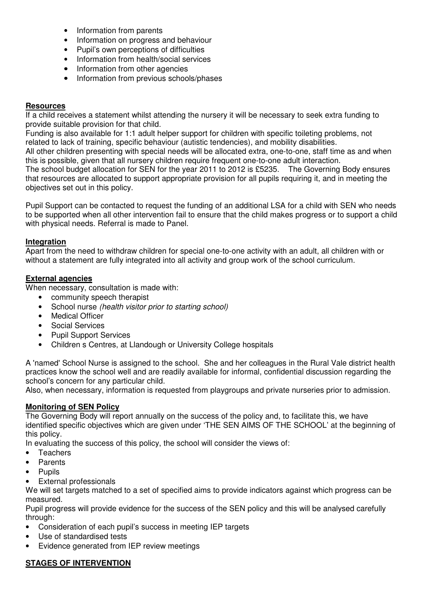- Information from parents
- Information on progress and behaviour
- Pupil's own perceptions of difficulties
- Information from health/social services
- Information from other agencies
- Information from previous schools/phases

## **Resources**

If a child receives a statement whilst attending the nursery it will be necessary to seek extra funding to provide suitable provision for that child.

Funding is also available for 1:1 adult helper support for children with specific toileting problems, not related to lack of training, specific behaviour (autistic tendencies), and mobility disabilities.

All other children presenting with special needs will be allocated extra, one-to-one, staff time as and when this is possible, given that all nursery children require frequent one-to-one adult interaction. The school budget allocation for SEN for the year 2011 to 2012 is £5235. The Governing Body ensures that resources are allocated to support appropriate provision for all pupils requiring it, and in meeting the

objectives set out in this policy.

Pupil Support can be contacted to request the funding of an additional LSA for a child with SEN who needs to be supported when all other intervention fail to ensure that the child makes progress or to support a child with physical needs. Referral is made to Panel.

## **Integration**

Apart from the need to withdraw children for special one-to-one activity with an adult, all children with or without a statement are fully integrated into all activity and group work of the school curriculum.

## **External agencies**

When necessary, consultation is made with:

- community speech therapist
- School nurse (health visitor prior to starting school)
- Medical Officer
- Social Services
- Pupil Support Services
- Children s Centres, at Llandough or University College hospitals

A 'named' School Nurse is assigned to the school. She and her colleagues in the Rural Vale district health practices know the school well and are readily available for informal, confidential discussion regarding the school's concern for any particular child.

Also, when necessary, information is requested from playgroups and private nurseries prior to admission.

## **Monitoring of SEN Policy**

The Governing Body will report annually on the success of the policy and, to facilitate this, we have identified specific objectives which are given under 'THE SEN AIMS OF THE SCHOOL' at the beginning of this policy.

In evaluating the success of this policy, the school will consider the views of:

- Teachers
- **Parents**
- **Pupils**
- External professionals

We will set targets matched to a set of specified aims to provide indicators against which progress can be measured.

Pupil progress will provide evidence for the success of the SEN policy and this will be analysed carefully through:

- Consideration of each pupil's success in meeting IEP targets
- Use of standardised tests
- Evidence generated from IEP review meetings

# **STAGES OF INTERVENTION**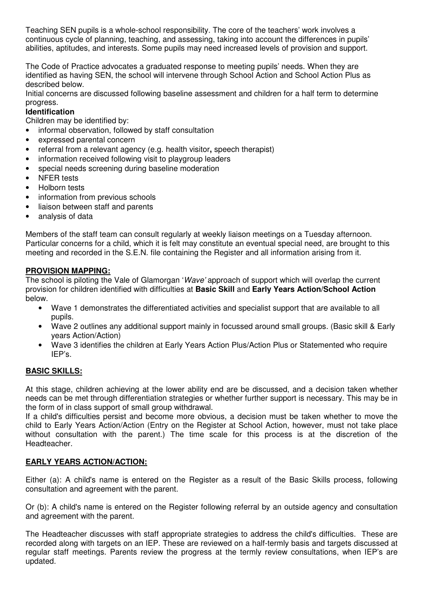Teaching SEN pupils is a whole-school responsibility. The core of the teachers' work involves a continuous cycle of planning, teaching, and assessing, taking into account the differences in pupils' abilities, aptitudes, and interests. Some pupils may need increased levels of provision and support.

The Code of Practice advocates a graduated response to meeting pupils' needs. When they are identified as having SEN, the school will intervene through School Action and School Action Plus as described below.

Initial concerns are discussed following baseline assessment and children for a half term to determine progress.

# **Identification**

Children may be identified by:

- informal observation, followed by staff consultation
- expressed parental concern
- referral from a relevant agency (e.g. health visitor**,** speech therapist)
- information received following visit to playgroup leaders
- special needs screening during baseline moderation
- NFER tests
- Holborn tests
- information from previous schools
- liaison between staff and parents
- analysis of data

Members of the staff team can consult regularly at weekly liaison meetings on a Tuesday afternoon. Particular concerns for a child, which it is felt may constitute an eventual special need, are brought to this meeting and recorded in the S.E.N. file containing the Register and all information arising from it.

## **PROVISION MAPPING:**

The school is piloting the Vale of Glamorgan 'Wave' approach of support which will overlap the current provision for children identified with difficulties at **Basic Skill** and **Early Years Action/School Action** below.

- Wave 1 demonstrates the differentiated activities and specialist support that are available to all pupils.
- Wave 2 outlines any additional support mainly in focussed around small groups. (Basic skill & Early years Action/Action)
- Wave 3 identifies the children at Early Years Action Plus/Action Plus or Statemented who require IEP's.

#### **BASIC SKILLS:**

At this stage, children achieving at the lower ability end are be discussed, and a decision taken whether needs can be met through differentiation strategies or whether further support is necessary. This may be in the form of in class support of small group withdrawal.

If a child's difficulties persist and become more obvious, a decision must be taken whether to move the child to Early Years Action/Action (Entry on the Register at School Action, however, must not take place without consultation with the parent.) The time scale for this process is at the discretion of the Headteacher.

#### **EARLY YEARS ACTION/ACTION:**

Either (a): A child's name is entered on the Register as a result of the Basic Skills process, following consultation and agreement with the parent.

Or (b): A child's name is entered on the Register following referral by an outside agency and consultation and agreement with the parent.

The Headteacher discusses with staff appropriate strategies to address the child's difficulties. These are recorded along with targets on an IEP. These are reviewed on a half-termly basis and targets discussed at regular staff meetings. Parents review the progress at the termly review consultations, when IEP's are updated.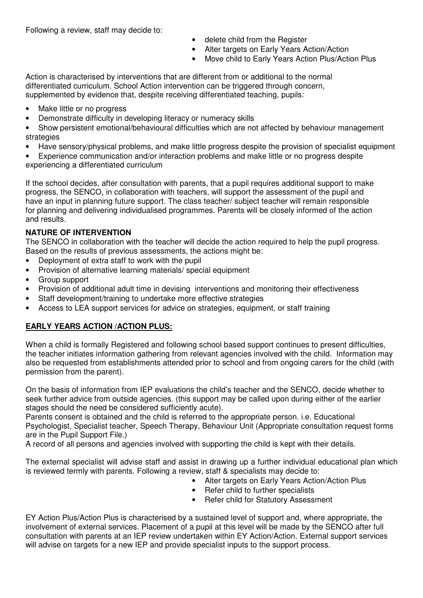Following a review, staff may decide to:

- delete child from the Register
- Alter targets on Early Years Action/Action
- Move child to Early Years Action Plus/Action Plus

Action is characterised by interventions that are different from or additional to the normal differentiated curriculum. School Action intervention can be triggered through concern, supplemented by evidence that, despite receiving differentiated teaching, pupils:

- Make little or no progress
- Demonstrate difficulty in developing literacy or numeracy skills
- Show persistent emotional/behavioural difficulties which are not affected by behaviour management strategies
- Have sensory/physical problems, and make little progress despite the provision of specialist equipment
- Experience communication and/or interaction problems and make little or no progress despite experiencing a differentiated curriculum

If the school decides, after consultation with parents, that a pupil requires additional support to make progress, the SENCO, in collaboration with teachers, will support the assessment of the pupil and have an input in planning future support. The class teacher/ subject teacher will remain responsible for planning and delivering individualised programmes. Parents will be closely informed of the action and results.

# **NATURE OF INTERVENTION**

The SENCO in collaboration with the teacher will decide the action required to help the pupil progress. Based on the results of previous assessments, the actions might be:

- Deployment of extra staff to work with the pupil
- Provision of alternative learning materials/ special equipment
- Group support
- Provision of additional adult time in devising interventions and monitoring their effectiveness
- Staff development/training to undertake more effective strategies
- Access to LEA support services for advice on strategies, equipment, or staff training

# **EARLY YEARS ACTION /ACTION PLUS:**

When a child is formally Registered and following school based support continues to present difficulties, the teacher initiates information gathering from relevant agencies involved with the child. Information may also be requested from establishments attended prior to school and from ongoing carers for the child (with permission from the parent).

On the basis of information from IEP evaluations the child's teacher and the SENCO, decide whether to seek further advice from outside agencies. (this support may be called upon during either of the earlier stages should the need be considered sufficiently acute).

Parents consent is obtained and the child is referred to the appropriate person. i.e. Educational Psychologist, Specialist teacher, Speech Therapy, Behaviour Unit (Appropriate consultation request forms are in the Pupil Support File.)

A record of all persons and agencies involved with supporting the child is kept with their details.

The external specialist will advise staff and assist in drawing up a further individual educational plan which is reviewed termly with parents. Following a review, staff & specialists may decide to:

- Alter targets on Early Years Action/Action Plus
- Refer child to further specialists
- Refer child for Statutory Assessment

EY Action Plus/Action Plus is characterised by a sustained level of support and, where appropriate, the involvement of external services. Placement of a pupil at this level will be made by the SENCO after full consultation with parents at an IEP review undertaken within EY Action/Action. External support services will advise on targets for a new IEP and provide specialist inputs to the support process.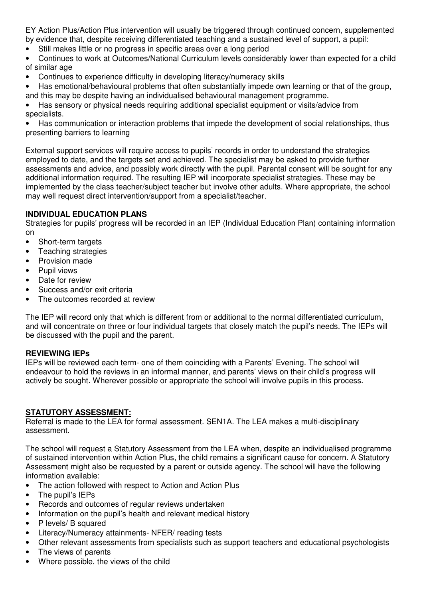EY Action Plus/Action Plus intervention will usually be triggered through continued concern, supplemented by evidence that, despite receiving differentiated teaching and a sustained level of support, a pupil:

- Still makes little or no progress in specific areas over a long period
- Continues to work at Outcomes/National Curriculum levels considerably lower than expected for a child of similar age
- Continues to experience difficulty in developing literacy/numeracy skills
- Has emotional/behavioural problems that often substantially impede own learning or that of the group, and this may be despite having an individualised behavioural management programme.

• Has sensory or physical needs requiring additional specialist equipment or visits/advice from specialists.

• Has communication or interaction problems that impede the development of social relationships, thus presenting barriers to learning

External support services will require access to pupils' records in order to understand the strategies employed to date, and the targets set and achieved. The specialist may be asked to provide further assessments and advice, and possibly work directly with the pupil. Parental consent will be sought for any additional information required. The resulting IEP will incorporate specialist strategies. These may be implemented by the class teacher/subject teacher but involve other adults. Where appropriate, the school may well request direct intervention/support from a specialist/teacher.

## **INDIVIDUAL EDUCATION PLANS**

Strategies for pupils' progress will be recorded in an IEP (Individual Education Plan) containing information on

- Short-term targets
- Teaching strategies
- Provision made
- Pupil views
- Date for review
- Success and/or exit criteria
- The outcomes recorded at review

The IEP will record only that which is different from or additional to the normal differentiated curriculum, and will concentrate on three or four individual targets that closely match the pupil's needs. The IEPs will be discussed with the pupil and the parent.

## **REVIEWING IEPs**

IEPs will be reviewed each term- one of them coinciding with a Parents' Evening. The school will endeavour to hold the reviews in an informal manner, and parents' views on their child's progress will actively be sought. Wherever possible or appropriate the school will involve pupils in this process.

## **STATUTORY ASSESSMENT:**

Referral is made to the LEA for formal assessment. SEN1A. The LEA makes a multi-disciplinary assessment.

The school will request a Statutory Assessment from the LEA when, despite an individualised programme of sustained intervention within Action Plus, the child remains a significant cause for concern. A Statutory Assessment might also be requested by a parent or outside agency. The school will have the following information available:

- The action followed with respect to Action and Action Plus
- The pupil's IEPs
- Records and outcomes of regular reviews undertaken
- Information on the pupil's health and relevant medical history
- P levels/ B squared
- Literacy/Numeracy attainments- NFER/ reading tests
- Other relevant assessments from specialists such as support teachers and educational psychologists
- The views of parents
- Where possible, the views of the child